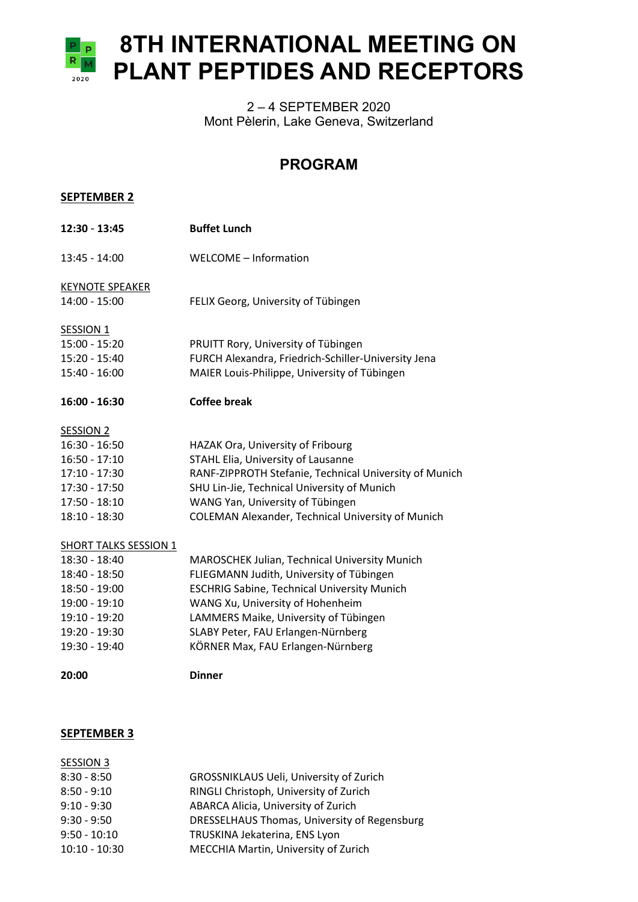

## 2 – 4 SEPTEMBER 2020 Mont Pèlerin, Lake Geneva, Switzerland

## **PROGRAM**

| <b>SEPTEMBER 2</b>                      |                                                        |
|-----------------------------------------|--------------------------------------------------------|
| 12:30 - 13:45                           | <b>Buffet Lunch</b>                                    |
| 13:45 - 14:00                           | WELCOME - Information                                  |
| <b>KEYNOTE SPEAKER</b><br>14:00 - 15:00 | FELIX Georg, University of Tübingen                    |
| <b>SESSION 1</b>                        |                                                        |
| 15:00 - 15:20                           | PRUITT Rory, University of Tübingen                    |
| 15:20 - 15:40                           | FURCH Alexandra, Friedrich-Schiller-University Jena    |
| 15:40 - 16:00                           | MAIER Louis-Philippe, University of Tübingen           |
| 16:00 - 16:30                           | <b>Coffee break</b>                                    |
| <b>SESSION 2</b>                        |                                                        |
| 16:30 - 16:50                           | HAZAK Ora, University of Fribourg                      |
| $16:50 - 17:10$                         | STAHL Elia, University of Lausanne                     |
| 17:10 - 17:30                           | RANF-ZIPPROTH Stefanie, Technical University of Munich |
| 17:30 - 17:50                           | SHU Lin-Jie, Technical University of Munich            |
| 17:50 - 18:10                           | WANG Yan, University of Tübingen                       |
| 18:10 - 18:30                           | COLEMAN Alexander, Technical University of Munich      |
| <u>SHORT TALKS SESSION 1</u>            |                                                        |
| 18:30 - 18:40                           | MAROSCHEK Julian, Technical University Munich          |
| 18:40 - 18:50                           | FLIEGMANN Judith, University of Tübingen               |
| 18:50 - 19:00                           | <b>ESCHRIG Sabine, Technical University Munich</b>     |
| 19:00 - 19:10                           | WANG Xu, University of Hohenheim                       |
| 19:10 - 19:20                           | LAMMERS Maike, University of Tübingen                  |
| 19:20 - 19:30                           | SLABY Peter, FAU Erlangen-Nürnberg                     |
| 19:30 - 19:40                           | KÖRNER Max, FAU Erlangen-Nürnberg                      |
| 20:00                                   | <b>Dinner</b>                                          |
|                                         |                                                        |

## **SEPTEMBER 3**

| SESSION 3       |                                              |
|-----------------|----------------------------------------------|
| $8:30 - 8:50$   | GROSSNIKLAUS Ueli, University of Zurich      |
| $8:50 - 9:10$   | RINGLI Christoph, University of Zurich       |
| $9:10 - 9:30$   | ABARCA Alicia, University of Zurich          |
| $9:30 - 9:50$   | DRESSELHAUS Thomas, University of Regensburg |
| $9:50 - 10:10$  | TRUSKINA Jekaterina, ENS Lyon                |
| $10:10 - 10:30$ | MECCHIA Martin, University of Zurich         |
|                 |                                              |